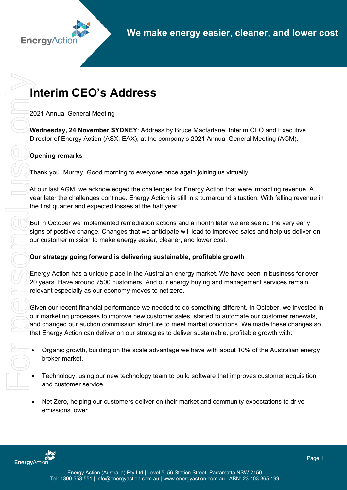# **Interim CEO's Address**

2021 Annual General Meeting

**Wednesday, 24 November SYDNEY**: Address by Bruce Macfarlane, Interim CEO and Executive Director of Energy Action (ASX: EAX), at the company's 2021 Annual General Meeting (AGM).

## **Opening remarks**

Thank you, Murray. Good morning to everyone once again joining us virtually.

At our last AGM, we acknowledged the challenges for Energy Action that were impacting revenue. A year later the challenges continue. Energy Action is still in a turnaround situation. With falling revenue in the first quarter and expected losses at the half year.

But in October we implemented remediation actions and a month later we are seeing the very early signs of positive change. Changes that we anticipate will lead to improved sales and help us deliver on our customer mission to make energy easier, cleaner, and lower cost.

### **Our strategy going forward is delivering sustainable, profitable growth**

Energy Action has a unique place in the Australian energy market. We have been in business for over 20 years. Have around 7500 customers. And our energy buying and management services remain relevant especially as our economy moves to net zero.

Given our recent financial performance we needed to do something different. In October, we invested in our marketing processes to improve new customer sales, started to automate our customer renewals, and changed our auction commission structure to meet market conditions. We made these changes so that Energy Action can deliver on our strategies to deliver sustainable, profitable growth with:

- Organic growth, building on the scale advantage we have with about 10% of the Australian energy broker market.
- Technology, using our new technology team to build software that improves customer acquisition and customer service.
- Net Zero, helping our customers deliver on their market and community expectations to drive emissions lower.

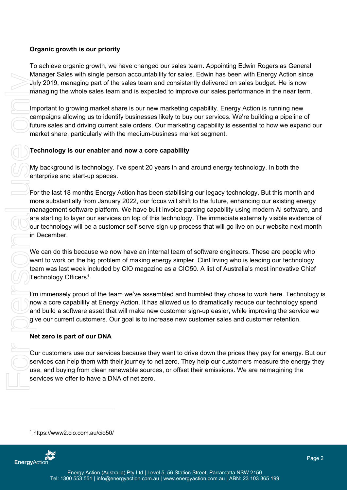#### **Organic growth is our priority**

To achieve organic growth, we have changed our sales team. Appointing Edwin Rogers as General Manager Sales with single person accountability for sales. Edwin has been with Energy Action since July 2019, managing part of the sales team and consistently delivered on sales budget. He is now managing the whole sales team and is expected to improve our sales performance in the near term.

Important to growing market share is our new marketing capability. Energy Action is running new campaigns allowing us to identify businesses likely to buy our services. We're building a pipeline of future sales and driving current sale orders. Our marketing capability is essential to how we expand our market share, particularly with the medium-business market segment.

#### **Technology is our enabler and now a core capability**

My background is technology. I've spent 20 years in and around energy technology. In both the enterprise and start-up spaces.

For the last 18 months Energy Action has been stabilising our legacy technology. But this month and more substantially from January 2022, our focus will shift to the future, enhancing our existing energy management software platform. We have built invoice parsing capability using modern AI software, and are starting to layer our services on top of this technology. The immediate externally visible evidence of our technology will be a customer self-serve sign-up process that will go live on our website next month in December.

We can do this because we now have an internal team of software engineers. These are people who want to work on the big problem of making energy simpler. Clint Irving who is leading our technology team was last week included by CIO magazine as a CIO50. A list of Australia's most innovative Chief Technology Officers<sup>[1](#page-1-0)</sup>.

I'm immensely proud of the team we've assembled and humbled they chose to work here. Technology is now a core capability at Energy Action. It has allowed us to dramatically reduce our technology spend and build a software asset that will make new customer sign-up easier, while improving the service we give our current customers. Our goal is to increase new customer sales and customer retention.

### **Net zero is part of our DNA**

Our customers use our services because they want to drive down the prices they pay for energy. But our services can help them with their journey to net zero. They help our customers measure the energy they use, and buying from clean renewable sources, or offset their emissions. We are reimagining the services we offer to have a DNA of net zero.

<span id="page-1-0"></span>